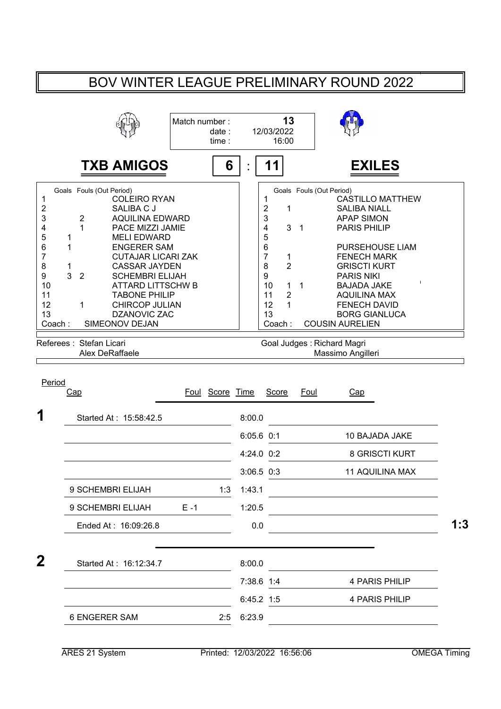## BOV WINTER LEAGUE PRELIMINARY ROUND 2022

|                                                                             |                                                                                                                                                                                                                                                                                                                                                                                                                                           | Match number: | date:<br>time:  |                | 13<br>12/03/2022<br>16:00                                                                                                                             |                     |                            |                                                                                                                                                                                                                                                         |                                                                                           |  |
|-----------------------------------------------------------------------------|-------------------------------------------------------------------------------------------------------------------------------------------------------------------------------------------------------------------------------------------------------------------------------------------------------------------------------------------------------------------------------------------------------------------------------------------|---------------|-----------------|----------------|-------------------------------------------------------------------------------------------------------------------------------------------------------|---------------------|----------------------------|---------------------------------------------------------------------------------------------------------------------------------------------------------------------------------------------------------------------------------------------------------|-------------------------------------------------------------------------------------------|--|
|                                                                             | <b>TXB AMIGOS</b>                                                                                                                                                                                                                                                                                                                                                                                                                         |               | 6               |                | 11                                                                                                                                                    |                     |                            | <b>EXILES</b>                                                                                                                                                                                                                                           |                                                                                           |  |
| 1<br>2<br>3<br>4<br>5<br>6<br>7<br>8<br>9<br>10<br>11<br>12<br>13<br>Coach: | Goals Fouls (Out Period)<br><b>COLEIRO RYAN</b><br>SALIBA C J<br>$\overline{2}$<br><b>AQUILINA EDWARD</b><br>$\mathbf{1}$<br>PACE MIZZI JAMIE<br><b>MELI EDWARD</b><br>1<br>1<br><b>ENGERER SAM</b><br><b>CUTAJAR LICARI ZAK</b><br>1<br><b>CASSAR JAYDEN</b><br>3<br>$\overline{2}$<br><b>SCHEMBRI ELIJAH</b><br><b>ATTARD LITTSCHW B</b><br><b>TABONE PHILIP</b><br><b>CHIRCOP JULIAN</b><br>1<br><b>DZANOVIC ZAC</b><br>SIMEONOV DEJAN |               |                 |                | 1<br>2<br>1<br>3<br>3<br>4<br>5<br>6<br>$\overline{7}$<br>1<br>8<br>$\overline{2}$<br>9<br>10<br>1<br>$\overline{2}$<br>11<br>12<br>1<br>13<br>Coach: | $\overline{1}$<br>1 | Goals Fouls (Out Period)   | <b>SALIBA NIALL</b><br><b>APAP SIMON</b><br><b>PARIS PHILIP</b><br><b>FENECH MARK</b><br><b>GRISCTI KURT</b><br><b>PARIS NIKI</b><br><b>BAJADA JAKE</b><br><b>AQUILINA MAX</b><br><b>FENECH DAVID</b><br><b>BORG GIANLUCA</b><br><b>COUSIN AURELIEN</b> | <b>CASTILLO MATTHEW</b><br>PURSEHOUSE LIAM                                                |  |
|                                                                             | Referees: Stefan Licari<br>Alex DeRaffaele                                                                                                                                                                                                                                                                                                                                                                                                |               |                 |                |                                                                                                                                                       |                     | Goal Judges: Richard Magri | Massimo Angilleri                                                                                                                                                                                                                                       |                                                                                           |  |
|                                                                             | Cap                                                                                                                                                                                                                                                                                                                                                                                                                                       |               | Foul Score Time |                | <b>Score</b>                                                                                                                                          | Foul                |                            | Cap                                                                                                                                                                                                                                                     |                                                                                           |  |
|                                                                             | Started At: 15:58:42.5                                                                                                                                                                                                                                                                                                                                                                                                                    |               |                 | 8:00.0         |                                                                                                                                                       |                     |                            |                                                                                                                                                                                                                                                         |                                                                                           |  |
|                                                                             |                                                                                                                                                                                                                                                                                                                                                                                                                                           |               |                 | $6:05.6$ $0:1$ |                                                                                                                                                       |                     |                            | 10 BAJADA JAKE                                                                                                                                                                                                                                          |                                                                                           |  |
|                                                                             |                                                                                                                                                                                                                                                                                                                                                                                                                                           |               |                 | 4:24.0 0:2     |                                                                                                                                                       |                     |                            |                                                                                                                                                                                                                                                         | 8 GRISCTI KURT                                                                            |  |
|                                                                             |                                                                                                                                                                                                                                                                                                                                                                                                                                           |               |                 | $3:06.5$ $0:3$ |                                                                                                                                                       |                     |                            |                                                                                                                                                                                                                                                         | <b>11 AQUILINA MAX</b>                                                                    |  |
|                                                                             | 9 SCHEMBRI ELIJAH                                                                                                                                                                                                                                                                                                                                                                                                                         |               | 1:3             | 1:43.1         |                                                                                                                                                       |                     |                            | <u> 1989 - Jan Stein Stein Stein Stein Stein Stein Stein Stein Stein Stein Stein Stein Stein Stein Stein Stein S</u>                                                                                                                                    |                                                                                           |  |
|                                                                             | 9 SCHEMBRI ELIJAH                                                                                                                                                                                                                                                                                                                                                                                                                         | $E - 1$       |                 | 1:20.5         |                                                                                                                                                       |                     |                            |                                                                                                                                                                                                                                                         | <u> 1980 - Johann Barbara, martxa amerikan personal (</u>                                 |  |
|                                                                             | Ended At: 16:09:26.8                                                                                                                                                                                                                                                                                                                                                                                                                      |               |                 | 0.0            |                                                                                                                                                       |                     |                            |                                                                                                                                                                                                                                                         |                                                                                           |  |
|                                                                             | Started At: 16:12:34.7                                                                                                                                                                                                                                                                                                                                                                                                                    |               |                 | 8:00.0         |                                                                                                                                                       |                     |                            |                                                                                                                                                                                                                                                         |                                                                                           |  |
|                                                                             |                                                                                                                                                                                                                                                                                                                                                                                                                                           |               |                 | 7:38.6 1:4     |                                                                                                                                                       |                     |                            | 4 PARIS PHILIP                                                                                                                                                                                                                                          | the control of the control of the control of the control of the control of the control of |  |
| Period<br>1<br>$\bf{2}$                                                     |                                                                                                                                                                                                                                                                                                                                                                                                                                           |               |                 | 6:45.2 1:5     |                                                                                                                                                       |                     |                            | 4 PARIS PHILIP                                                                                                                                                                                                                                          |                                                                                           |  |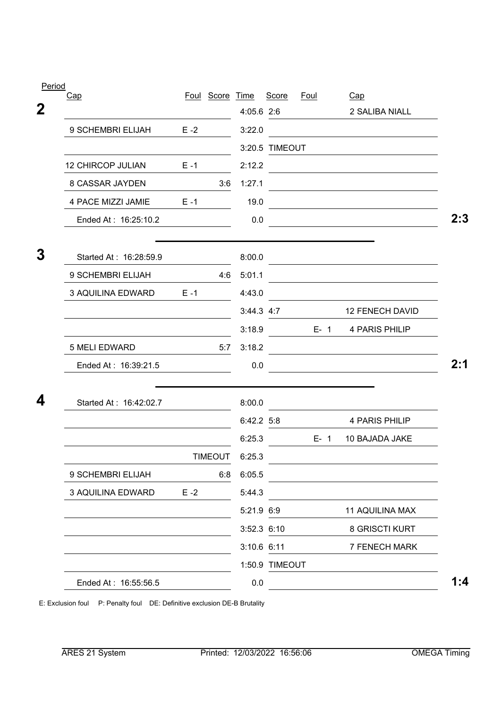| Period      |                          |         |                 |               |                |             |                                                                                                                      |     |
|-------------|--------------------------|---------|-----------------|---------------|----------------|-------------|----------------------------------------------------------------------------------------------------------------------|-----|
|             | <u>Cap</u>               |         | Foul Score Time |               | Score          | <u>Foul</u> | Cap                                                                                                                  |     |
| $\mathbf 2$ |                          |         |                 | 4:05.6 2:6    |                |             | 2 SALIBA NIALL                                                                                                       |     |
|             | 9 SCHEMBRI ELIJAH        | $E - 2$ |                 | 3:22.0        |                |             |                                                                                                                      |     |
|             |                          |         |                 |               | 3:20.5 TIMEOUT |             |                                                                                                                      |     |
|             | <b>12 CHIRCOP JULIAN</b> | $E - 1$ |                 | 2:12.2        |                |             | <u> 1989 - Andrea Andrew Maria (h. 1989).</u>                                                                        |     |
|             | 8 CASSAR JAYDEN          |         | 3:6             | 1:27.1        |                |             |                                                                                                                      |     |
|             | 4 PACE MIZZI JAMIE       | $E - 1$ |                 | 19.0          |                |             | <u> 1989 - Johann Stein, mars an deutscher Stein und der Stein und der Stein und der Stein und der Stein und der</u> |     |
|             | Ended At: 16:25:10.2     |         |                 | 0.0           |                |             |                                                                                                                      |     |
| 3           | Started At: 16:28:59.9   |         |                 | 8:00.0        |                |             |                                                                                                                      |     |
|             | 9 SCHEMBRI ELIJAH        |         | 4:6             | 5:01.1        |                |             |                                                                                                                      |     |
|             | 3 AQUILINA EDWARD        | $E - 1$ |                 | 4:43.0        |                |             |                                                                                                                      |     |
|             |                          |         |                 |               | 3:44.3 4:7     |             | 12 FENECH DAVID                                                                                                      |     |
|             |                          |         |                 | 3:18.9        |                |             | E-1 4 PARIS PHILIP                                                                                                   |     |
|             | 5 MELI EDWARD            |         | 5:7             | 3:18.2        |                |             | <u> 1989 - Andrea State Barbara, poeta esperanto-</u>                                                                |     |
|             | Ended At: 16:39:21.5     |         |                 | 0.0           |                |             |                                                                                                                      | 2:1 |
| 4           | Started At: 16:42:02.7   |         |                 | 8:00.0        |                |             |                                                                                                                      |     |
|             |                          |         |                 | 6:42.2 5:8    |                |             | 4 PARIS PHILIP                                                                                                       |     |
|             |                          |         |                 | 6:25.3        |                | $E - 1$     | 10 BAJADA JAKE                                                                                                       |     |
|             |                          |         | TIMEOUT         | 6:25.3        |                |             |                                                                                                                      |     |
|             | 9 SCHEMBRI ELIJAH        |         | 6:8             | 6:05.5        |                |             |                                                                                                                      |     |
|             | 3 AQUILINA EDWARD        | $E - 2$ |                 | 5:44.3        |                |             |                                                                                                                      |     |
|             |                          |         |                 | 5:21.9 6:9    |                |             | <b>11 AQUILINA MAX</b>                                                                                               |     |
|             |                          |         |                 | $3:52.3$ 6:10 |                |             | 8 GRISCTI KURT                                                                                                       |     |
|             |                          |         |                 |               | 3:10.6 6:11    |             | 7 FENECH MARK                                                                                                        |     |
|             |                          |         |                 |               | 1:50.9 TIMEOUT |             |                                                                                                                      |     |
|             | Ended At: 16:55:56.5     |         |                 | 0.0           |                |             |                                                                                                                      | 1:4 |
|             |                          |         |                 |               |                |             |                                                                                                                      |     |

E: Exclusion foul P: Penalty foul DE: Definitive exclusion DE-B Brutality